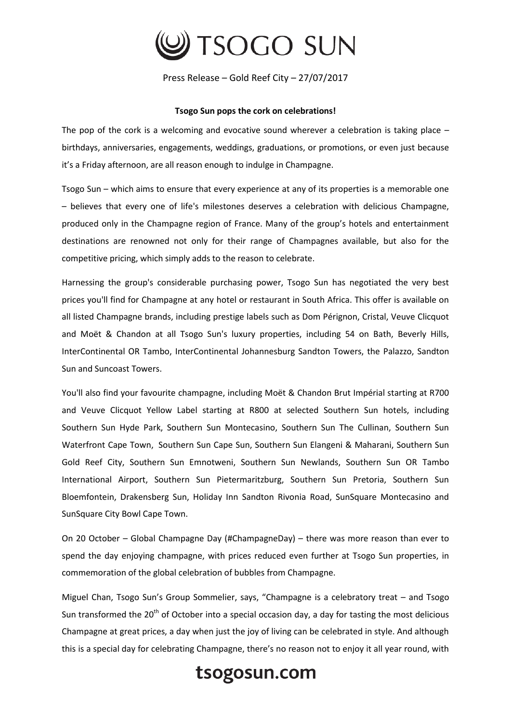

Press Release – Gold Reef City – 27/07/2017

## **Tsogo Sun pops the cork on celebrations!**

The pop of the cork is a welcoming and evocative sound wherever a celebration is taking place  $$ birthdays, anniversaries, engagements, weddings, graduations, or promotions, or even just because it's a Friday afternoon, are all reason enough to indulge in Champagne.

Tsogo Sun – which aims to ensure that every experience at any of its properties is a memorable one – believes that every one of life's milestones deserves a celebration with delicious Champagne, produced only in the Champagne region of France. Many of the group's hotels and entertainment destinations are renowned not only for their range of Champagnes available, but also for the competitive pricing, which simply adds to the reason to celebrate.

Harnessing the group's considerable purchasing power, Tsogo Sun has negotiated the very best prices you'll find for Champagne at any hotel or restaurant in South Africa. This offer is available on all listed Champagne brands, including prestige labels such as Dom Pérignon, Cristal, Veuve Clicquot and Moët & Chandon at all Tsogo Sun's luxury properties, including 54 on Bath, Beverly Hills, InterContinental OR Tambo, InterContinental Johannesburg Sandton Towers, the Palazzo, Sandton Sun and Suncoast Towers.

You'll also find your favourite champagne, including Moët & Chandon Brut Impérial starting at R700 and Veuve Clicquot Yellow Label starting at R800 at selected Southern Sun hotels, including Southern Sun Hyde Park, Southern Sun Montecasino, Southern Sun The Cullinan, Southern Sun Waterfront Cape Town, Southern Sun Cape Sun, Southern Sun Elangeni & Maharani, Southern Sun Gold Reef City, Southern Sun Emnotweni, Southern Sun Newlands, Southern Sun OR Tambo International Airport, Southern Sun Pietermaritzburg, Southern Sun Pretoria, Southern Sun Bloemfontein, Drakensberg Sun, Holiday Inn Sandton Rivonia Road, SunSquare Montecasino and SunSquare City Bowl Cape Town.

On 20 October – Global Champagne Day (#ChampagneDay) – there was more reason than ever to spend the day enjoying champagne, with prices reduced even further at Tsogo Sun properties, in commemoration of the global celebration of bubbles from Champagne.

Miguel Chan, Tsogo Sun's Group Sommelier, says, "Champagne is a celebratory treat – and Tsogo Sun transformed the 20<sup>th</sup> of October into a special occasion day, a day for tasting the most delicious Champagne at great prices, a day when just the joy of living can be celebrated in style. And although this is a special day for celebrating Champagne, there's no reason not to enjoy it all year round, with

## tsogosun.com